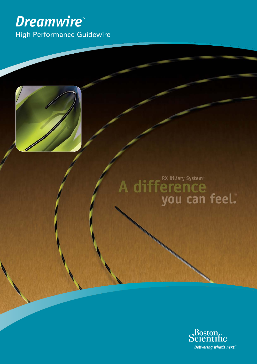# *Dreamwire™* High Performance Guidewire



A difference<br>you can feel."